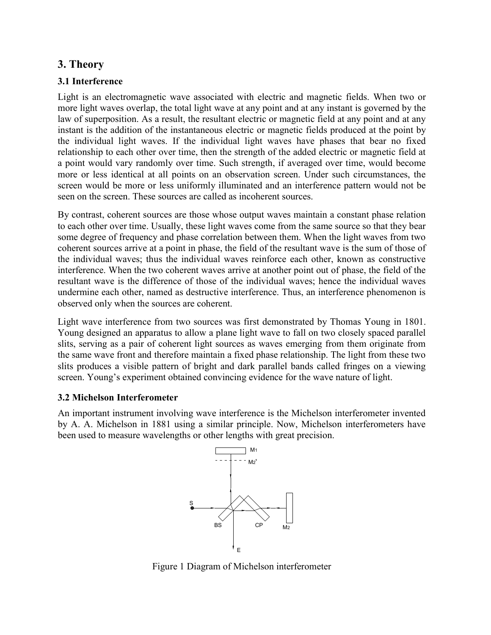# 3. Theory

## 3.1 Interference

Light is an electromagnetic wave associated with electric and magnetic fields. When two or more light waves overlap, the total light wave at any point and at any instant is governed by the law of superposition. As a result, the resultant electric or magnetic field at any point and at any instant is the addition of the instantaneous electric or magnetic fields produced at the point by the individual light waves. If the individual light waves have phases that bear no fixed relationship to each other over time, then the strength of the added electric or magnetic field at a point would vary randomly over time. Such strength, if averaged over time, would become more or less identical at all points on an observation screen. Under such circumstances, the screen would be more or less uniformly illuminated and an interference pattern would not be seen on the screen. These sources are called as incoherent sources.

By contrast, coherent sources are those whose output waves maintain a constant phase relation to each other over time. Usually, these light waves come from the same source so that they bear some degree of frequency and phase correlation between them. When the light waves from two coherent sources arrive at a point in phase, the field of the resultant wave is the sum of those of the individual waves; thus the individual waves reinforce each other, known as constructive interference. When the two coherent waves arrive at another point out of phase, the field of the resultant wave is the difference of those of the individual waves; hence the individual waves undermine each other, named as destructive interference. Thus, an interference phenomenon is observed only when the sources are coherent.

Light wave interference from two sources was first demonstrated by Thomas Young in 1801. Young designed an apparatus to allow a plane light wave to fall on two closely spaced parallel slits, serving as a pair of coherent light sources as waves emerging from them originate from the same wave front and therefore maintain a fixed phase relationship. The light from these two slits produces a visible pattern of bright and dark parallel bands called fringes on a viewing screen. Young's experiment obtained convincing evidence for the wave nature of light.

### 3.2 Michelson Interferometer

An important instrument involving wave interference is the Michelson interferometer invented by A. A. Michelson in 1881 using a similar principle. Now, Michelson interferometers have been used to measure wavelengths or other lengths with great precision.



Figure 1 Diagram of Michelson interferometer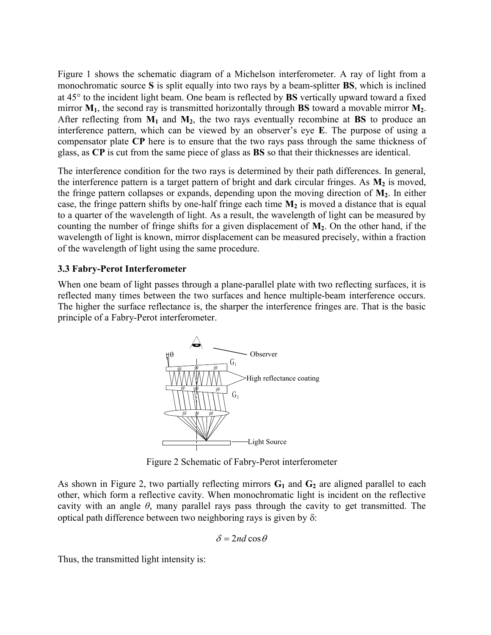Figure 1 shows the schematic diagram of a Michelson interferometer. A ray of light from a monochromatic source S is split equally into two rays by a beam-splitter BS, which is inclined at  $45^{\circ}$  to the incident light beam. One beam is reflected by **BS** vertically upward toward a fixed mirror  $M_1$ , the second ray is transmitted horizontally through BS toward a movable mirror  $M_2$ . After reflecting from  $M_1$  and  $M_2$ , the two rays eventually recombine at BS to produce an interference pattern, which can be viewed by an observer's eye E. The purpose of using a compensator plate CP here is to ensure that the two rays pass through the same thickness of glass, as CP is cut from the same piece of glass as BS so that their thicknesses are identical.

The interference condition for the two rays is determined by their path differences. In general, the interference pattern is a target pattern of bright and dark circular fringes. As  $M_2$  is moved, the fringe pattern collapses or expands, depending upon the moving direction of  $M_2$ . In either case, the fringe pattern shifts by one-half fringe each time  $M_2$  is moved a distance that is equal to a quarter of the wavelength of light. As a result, the wavelength of light can be measured by counting the number of fringe shifts for a given displacement of  $M_2$ . On the other hand, if the wavelength of light is known, mirror displacement can be measured precisely, within a fraction of the wavelength of light using the same procedure.

### 3.3 Fabry-Perot Interferometer

When one beam of light passes through a plane-parallel plate with two reflecting surfaces, it is reflected many times between the two surfaces and hence multiple-beam interference occurs. The higher the surface reflectance is, the sharper the interference fringes are. That is the basic principle of a Fabry-Perot interferometer.



Figure 2 Schematic of Fabry-Perot interferometer

As shown in Figure 2, two partially reflecting mirrors  $G_1$  and  $G_2$  are aligned parallel to each other, which form a reflective cavity. When monochromatic light is incident on the reflective cavity with an angle  $\theta$ , many parallel rays pass through the cavity to get transmitted. The optical path difference between two neighboring rays is given by  $\delta$ :

$$
\delta = 2nd\cos\theta
$$

Thus, the transmitted light intensity is: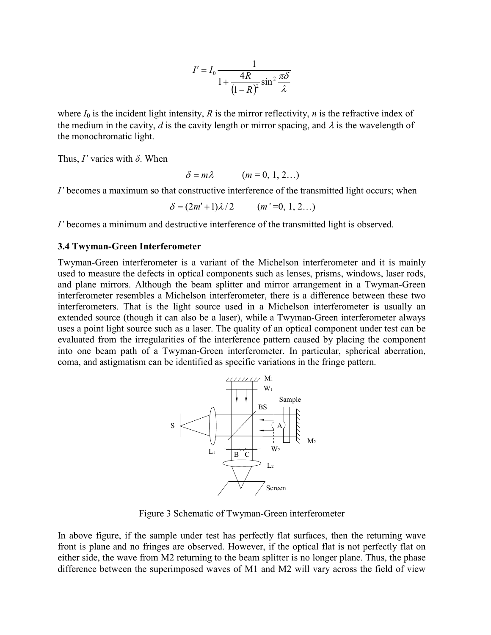$$
I' = I_0 \frac{1}{1 + \frac{4R}{(1 - R)^2} \sin^2 \frac{\pi \delta}{\lambda}}
$$

 $\frac{4R}{(1-R)^2} \sin^2 \frac{\pi \delta}{\lambda}$ <br>e mirror reflectivity, *n* is the refractive index of<br>th or mirror spacing, and  $\lambda$  is the wavelength of where  $I_0$  is the incident light intensity, R is the mirror reflectivity, n is the refractive index of the medium in the cavity, d is the cavity length or mirror spacing, and  $\lambda$  is the wavelength of the monochromatic light.

Thus,  $I'$  varies with  $\delta$ . When

$$
\delta = m\lambda \qquad (m = 0, 1, 2...)
$$

I' becomes a maximum so that constructive interference of the transmitted light occurs; when

 $\delta = (2m' + 1)\lambda/2$  (*m* '=0, 1, 2…)

I' becomes a minimum and destructive interference of the transmitted light is observed.

#### 3.4 Twyman-Green Interferometer

Twyman-Green interferometer is a variant of the Michelson interferometer and it is mainly used to measure the defects in optical components such as lenses, prisms, windows, laser rods, and plane mirrors. Although the beam splitter and mirror arrangement in a Twyman-Green interferometer resembles a Michelson interferometer, there is a difference between these two interferometers. That is the light source used in a Michelson interferometer is usually an extended source (though it can also be a laser), while a Twyman-Green interferometer always uses a point light source such as a laser. The quality of an optical component under test can be evaluated from the irregularities of the interference pattern caused by placing the component into one beam path of a Twyman-Green interferometer. In particular, spherical aberration, coma, and astigmatism can be identified as specific variations in the fringe pattern.



Figure 3 Schematic of Twyman-Green interferometer

In above figure, if the sample under test has perfectly flat surfaces, then the returning wave front is plane and no fringes are observed. However, if the optical flat is not perfectly flat on either side, the wave from M2 returning to the beam splitter is no longer plane. Thus, the phase difference between the superimposed waves of M1 and M2 will vary across the field of view